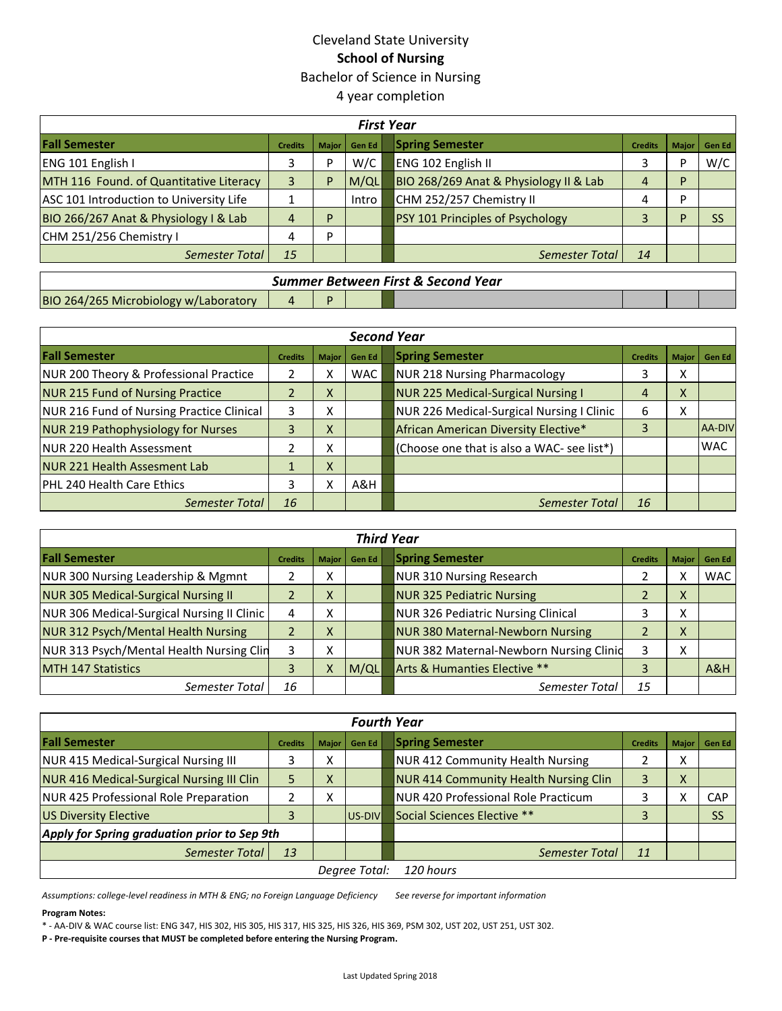# Cleveland State University **School of Nursing** Bachelor of Science in Nursing 4 year completion

| <b>First Year</b>                       |                |              |               |                                                                    |  |  |  |  |
|-----------------------------------------|----------------|--------------|---------------|--------------------------------------------------------------------|--|--|--|--|
| <b>Fall Semester</b>                    | <b>Credits</b> | <b>Maior</b> | <b>Gen Ed</b> | <b>Spring Semester</b><br>Gen Ed<br><b>Credits</b><br><b>Major</b> |  |  |  |  |
| ENG 101 English I                       | 3              | D            | W/C           | W/C<br>ENG 102 English II<br>D                                     |  |  |  |  |
| MTH 116 Found. of Quantitative Literacy |                | P            | M/QL          | BIO 268/269 Anat & Physiology II & Lab<br>D<br>4                   |  |  |  |  |
| ASC 101 Introduction to University Life |                |              | Intro         | CHM 252/257 Chemistry II<br>D<br>4                                 |  |  |  |  |
| BIO 266/267 Anat & Physiology I & Lab   | 4              | D            |               | <b>PSY 101 Principles of Psychology</b><br><b>SS</b><br>D          |  |  |  |  |
| CHM 251/256 Chemistry I                 | 4              | D            |               |                                                                    |  |  |  |  |
| <b>Semester Total</b>                   | 15             |              |               | 14<br><b>Semester Total</b>                                        |  |  |  |  |
| Summer Retween First & Second Vear      |                |              |               |                                                                    |  |  |  |  |

|                                       |  | Summer Between First & Second Year |  |  |
|---------------------------------------|--|------------------------------------|--|--|
| BIO 264/265 Microbiology w/Laboratory |  |                                    |  |  |

| <b>Second Year</b>                        |                |              |               |  |                                            |                |   |                |
|-------------------------------------------|----------------|--------------|---------------|--|--------------------------------------------|----------------|---|----------------|
| <b>Fall Semester</b>                      | <b>Credits</b> | <b>Major</b> | <b>Gen Ed</b> |  | <b>Spring Semester</b>                     | <b>Credits</b> |   | Major   Gen Ed |
| NUR 200 Theory & Professional Practice    |                | x            | WAC           |  | <b>NUR 218 Nursing Pharmacology</b>        |                | x |                |
| <b>NUR 215 Fund of Nursing Practice</b>   |                | X            |               |  | <b>NUR 225 Medical-Surgical Nursing I</b>  | 4              | X |                |
| NUR 216 Fund of Nursing Practice Clinical | 3              | x            |               |  | NUR 226 Medical-Surgical Nursing I Clinic  | 6              | X |                |
| <b>NUR 219 Pathophysiology for Nurses</b> |                | X            |               |  | African American Diversity Elective*       | 3              |   | AA-DIV         |
| NUR 220 Health Assessment                 |                | χ            |               |  | (Choose one that is also a WAC- see list*) |                |   | <b>WAC</b>     |
| NUR 221 Health Assesment Lab              |                | X            |               |  |                                            |                |   |                |
| PHL 240 Health Care Ethics                |                | χ            | A&H           |  |                                            |                |   |                |
| <b>Semester Total</b>                     | 16             |              |               |  | <b>Semester Total</b>                      | 16             |   |                |

| <b>Third Year</b>                          |                |                             |        |  |                                           |                |        |                |  |
|--------------------------------------------|----------------|-----------------------------|--------|--|-------------------------------------------|----------------|--------|----------------|--|
| <b>Fall Semester</b>                       | <b>Credits</b> | <b>Maior</b>                | Gen Ed |  | <b>Spring Semester</b>                    | <b>Credits</b> |        | Major   Gen Ed |  |
| NUR 300 Nursing Leadership & Mgmnt         |                | v<br>∧                      |        |  | <b>NUR 310 Nursing Research</b>           |                |        | WAC I          |  |
| <b>NUR 305 Medical-Surgical Nursing II</b> |                | $\overline{ }$<br>$\lambda$ |        |  | <b>NUR 325 Pediatric Nursing</b>          |                | X      |                |  |
| NUR 306 Medical-Surgical Nursing II Clinic |                | v<br>́                      |        |  | <b>NUR 326 Pediatric Nursing Clinical</b> |                | v<br>∧ |                |  |
| NUR 312 Psych/Mental Health Nursing        |                | $\checkmark$<br>v           |        |  | <b>NUR 380 Maternal-Newborn Nursing</b>   |                | X      |                |  |
| NUR 313 Psych/Mental Health Nursing Clin   |                | ∧                           |        |  | NUR 382 Maternal-Newborn Nursing Clinid   |                | v<br>∧ |                |  |
| <b>MTH 147 Statistics</b>                  |                | x                           | M/QL   |  | Arts & Humanties Elective **              |                |        | A&H            |  |
| Semester Total                             | 16             |                             |        |  | Semester Total                            | 15             |        |                |  |

| <b>Fourth Year</b>                           |                |              |                 |  |                                              |                |              |            |
|----------------------------------------------|----------------|--------------|-----------------|--|----------------------------------------------|----------------|--------------|------------|
| <b>Fall Semester</b>                         | <b>Credits</b> | <b>Major</b> | <b>Gen Ed</b>   |  | <b>Spring Semester</b>                       | <b>Credits</b> | <b>Major</b> | Gen Ed     |
| NUR 415 Medical-Surgical Nursing III         |                | x            |                 |  | <b>NUR 412 Community Health Nursing</b>      |                | v            |            |
| NUR 416 Medical-Surgical Nursing III Clin    |                | X            |                 |  | <b>NUR 414 Community Health Nursing Clin</b> |                | x            |            |
| NUR 425 Professional Role Preparation        |                | v<br>∧       |                 |  | NUR 420 Professional Role Practicum          |                |              | <b>CAP</b> |
| <b>US Diversity Elective</b>                 |                |              | <b>IUS-DIVI</b> |  | Social Sciences Elective **                  | 3              |              | <b>SS</b>  |
| Apply for Spring graduation prior to Sep 9th |                |              |                 |  |                                              |                |              |            |
| Semester Total                               | 13             |              |                 |  | Semester Total                               | 11             |              |            |
| 120 hours<br>Degree Total:                   |                |              |                 |  |                                              |                |              |            |

*Assumptions: college-level readiness in MTH & ENG; no Foreign Language Deficiency See reverse for important information*

### **Program Notes:**

\* - AA-DIV & WAC course list: ENG 347, HIS 302, HIS 305, HIS 317, HIS 325, HIS 326, HIS 369, PSM 302, UST 202, UST 251, UST 302.

**P - Pre-requisite courses that MUST be completed before entering the Nursing Program.**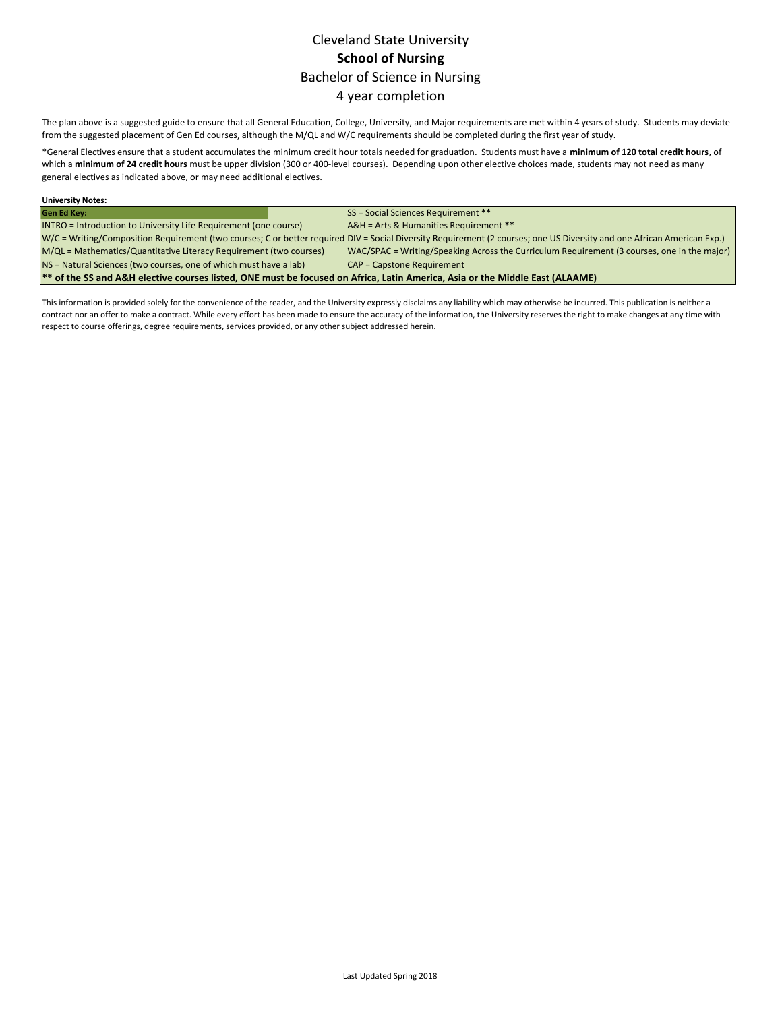# Cleveland State University **School of Nursing** Bachelor of Science in Nursing 4 year completion

The plan above is a suggested guide to ensure that all General Education, College, University, and Major requirements are met within 4 years of study. Students may deviate from the suggested placement of Gen Ed courses, although the M/QL and W/C requirements should be completed during the first year of study.

\*General Electives ensure that a student accumulates the minimum credit hour totals needed for graduation. Students must have a **minimum of 120 total credit hours**, of which a **minimum of 24 credit hours** must be upper division (300 or 400-level courses). Depending upon other elective choices made, students may not need as many general electives as indicated above, or may need additional electives.

| <b>University Notes:</b>                                                                                                     |                                                                                                                                                                         |  |  |  |
|------------------------------------------------------------------------------------------------------------------------------|-------------------------------------------------------------------------------------------------------------------------------------------------------------------------|--|--|--|
| <b>Gen Ed Key:</b>                                                                                                           | SS = Social Sciences Requirement **                                                                                                                                     |  |  |  |
| INTRO = Introduction to University Life Requirement (one course)                                                             | A&H = Arts & Humanities Requirement **                                                                                                                                  |  |  |  |
|                                                                                                                              | W/C = Writing/Composition Requirement (two courses; C or better required DIV = Social Diversity Requirement (2 courses; one US Diversity and one African American Exp.) |  |  |  |
| M/QL = Mathematics/Quantitative Literacy Requirement (two courses)                                                           | WAC/SPAC = Writing/Speaking Across the Curriculum Requirement (3 courses, one in the major)                                                                             |  |  |  |
| NS = Natural Sciences (two courses, one of which must have a lab)                                                            | <b>CAP = Capstone Requirement</b>                                                                                                                                       |  |  |  |
| ** of the SS and A&H elective courses listed, ONE must be focused on Africa, Latin America, Asia or the Middle East (ALAAME) |                                                                                                                                                                         |  |  |  |

This information is provided solely for the convenience of the reader, and the University expressly disclaims any liability which may otherwise be incurred. This publication is neither a contract nor an offer to make a contract. While every effort has been made to ensure the accuracy of the information, the University reserves the right to make changes at any time with respect to course offerings, degree requirements, services provided, or any other subject addressed herein.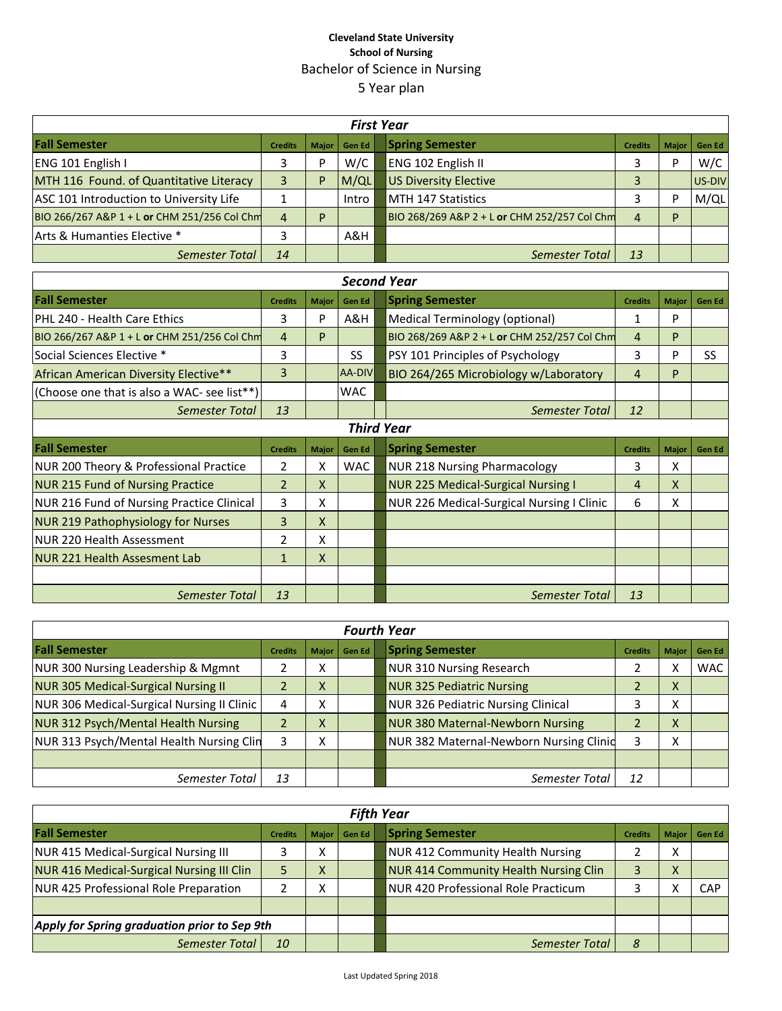## **Cleveland State University School of Nursing** Bachelor of Science in Nursing 5 Year plan

| <b>First Year</b>                            |                |              |        |                                                                |                               |  |  |  |
|----------------------------------------------|----------------|--------------|--------|----------------------------------------------------------------|-------------------------------|--|--|--|
| <b>Fall Semester</b>                         | <b>Credits</b> | <b>Major</b> | Gen Ed | <b>Spring Semester</b><br><b>Credits</b>                       | <b>Gen Ed</b><br><b>Major</b> |  |  |  |
| ENG 101 English I                            |                | D            | W/C    | ENG 102 English II                                             | W/C<br>D                      |  |  |  |
| MTH 116 Found. of Quantitative Literacy      |                | P            | M/QL   | <b>US Diversity Elective</b>                                   | US-DIV                        |  |  |  |
| ASC 101 Introduction to University Life      |                |              | Intro  | IMTH 147 Statistics                                            | M/QL<br>D                     |  |  |  |
| BIO 266/267 A&P 1 + L or CHM 251/256 Col Chm | 4              | Þ            |        | BIO 268/269 A&P 2 + L or CHM 252/257 Col Chm<br>$\overline{4}$ | D                             |  |  |  |
| Arts & Humanties Elective *                  |                |              | A&H    |                                                                |                               |  |  |  |
| <b>Semester Total</b>                        | 14             |              |        | 13<br>Semester Total                                           |                               |  |  |  |

| <b>Second Year</b>                               |                |              |               |                                                                           |  |  |  |
|--------------------------------------------------|----------------|--------------|---------------|---------------------------------------------------------------------------|--|--|--|
| <b>Fall Semester</b>                             | <b>Credits</b> | <b>Major</b> | <b>Gen Ed</b> | <b>Spring Semester</b><br><b>Major</b><br><b>Credits</b><br>Gen Ed        |  |  |  |
| PHL 240 - Health Care Ethics                     | 3              | P            | A&H           | Medical Terminology (optional)<br>P                                       |  |  |  |
| BIO 266/267 A&P 1 + L or CHM 251/256 Col Chm     | 4              | P            |               | BIO 268/269 A&P 2 + L or CHM 252/257 Col Chm<br>P<br>4                    |  |  |  |
| Social Sciences Elective *                       | 3              |              | <b>SS</b>     | PSY 101 Principles of Psychology<br>3<br>P<br>SS                          |  |  |  |
| African American Diversity Elective**            | 3              |              | AA-DIV        | BIO 264/265 Microbiology w/Laboratory<br>4<br>P                           |  |  |  |
| (Choose one that is also a WAC- see list**)      |                |              | <b>WAC</b>    |                                                                           |  |  |  |
| Semester Total                                   | 13             |              |               | 12<br><b>Semester Total</b>                                               |  |  |  |
| <b>Third Year</b>                                |                |              |               |                                                                           |  |  |  |
| <b>Fall Semester</b>                             | <b>Credits</b> | <b>Major</b> | Gen Ed        | <b>Spring Semester</b><br><b>Credits</b><br><b>Major</b><br><b>Gen Ed</b> |  |  |  |
| NUR 200 Theory & Professional Practice           | 2              | x            | <b>WAC</b>    | <b>NUR 218 Nursing Pharmacology</b><br>3<br>x                             |  |  |  |
| <b>NUR 215 Fund of Nursing Practice</b>          | $\overline{2}$ | X            |               | <b>NUR 225 Medical-Surgical Nursing I</b><br>X<br>4                       |  |  |  |
| <b>NUR 216 Fund of Nursing Practice Clinical</b> | 3              | X            |               | NUR 226 Medical-Surgical Nursing I Clinic<br>x<br>6                       |  |  |  |
| <b>NUR 219 Pathophysiology for Nurses</b>        | 3              | X            |               |                                                                           |  |  |  |
| <b>NUR 220 Health Assessment</b>                 | 2              | X            |               |                                                                           |  |  |  |
| NUR 221 Health Assesment Lab                     | 1              | X            |               |                                                                           |  |  |  |
|                                                  |                |              |               |                                                                           |  |  |  |
| <b>Semester Total</b>                            | 13             |              |               | 13<br><b>Semester Total</b>                                               |  |  |  |

| <b>Fourth Year</b>                         |                |                          |        |  |                                           |                |                           |               |
|--------------------------------------------|----------------|--------------------------|--------|--|-------------------------------------------|----------------|---------------------------|---------------|
| <b>Fall Semester</b>                       | <b>Credits</b> | Major                    | Gen Ed |  | <b>Spring Semester</b>                    | <b>Credits</b> | <b>Major</b>              | <b>Gen Ed</b> |
| NUR 300 Nursing Leadership & Mgmnt         |                | $\checkmark$<br>⋏        |        |  | <b>NUR 310 Nursing Research</b>           |                |                           | <b>WAC</b>    |
| <b>NUR 305 Medical-Surgical Nursing II</b> |                | $\mathbf v$<br>∧         |        |  | <b>NUR 325 Pediatric Nursing</b>          |                | v<br>$\Lambda$            |               |
| NUR 306 Medical-Surgical Nursing II Clinic | 4              | $\checkmark$<br>∧        |        |  | <b>NUR 326 Pediatric Nursing Clinical</b> |                | $\checkmark$<br>$\sim$    |               |
| NUR 312 Psych/Mental Health Nursing        |                | $\mathbf v$<br>$\lambda$ |        |  | <b>NUR 380 Maternal-Newborn Nursing</b>   |                | $\mathbf{v}$<br>$\lambda$ |               |
| NUR 313 Psych/Mental Health Nursing Clin   |                | $\checkmark$<br>v        |        |  | NUR 382 Maternal-Newborn Nursing Clinid   |                | $\mathbf{v}$<br>Λ         |               |
|                                            |                |                          |        |  |                                           |                |                           |               |
| Semester Total                             | 13             |                          |        |  | Semester Total                            | 12             |                           |               |

| <b>Fifth Year</b>                                |                |              |        |  |                                              |                |        |                |
|--------------------------------------------------|----------------|--------------|--------|--|----------------------------------------------|----------------|--------|----------------|
| <b>Fall Semester</b>                             | <b>Credits</b> | <b>Major</b> | Gen Ed |  | <b>Spring Semester</b>                       | <b>Credits</b> |        | Major   Gen Ed |
| NUR 415 Medical-Surgical Nursing III             |                | v<br>v       |        |  | <b>NUR 412 Community Health Nursing</b>      |                | v<br>Λ |                |
| <b>NUR 416 Medical-Surgical Nursing III Clin</b> |                | v<br>v       |        |  | <b>NUR 414 Community Health Nursing Clin</b> |                | x      |                |
| NUR 425 Professional Role Preparation            |                | v<br>́       |        |  | NUR 420 Professional Role Practicum          |                |        | <b>CAP</b>     |
|                                                  |                |              |        |  |                                              |                |        |                |
| Apply for Spring graduation prior to Sep 9th     |                |              |        |  |                                              |                |        |                |
| Semester Total                                   | 10             |              |        |  | Semester Total                               | 8              |        |                |